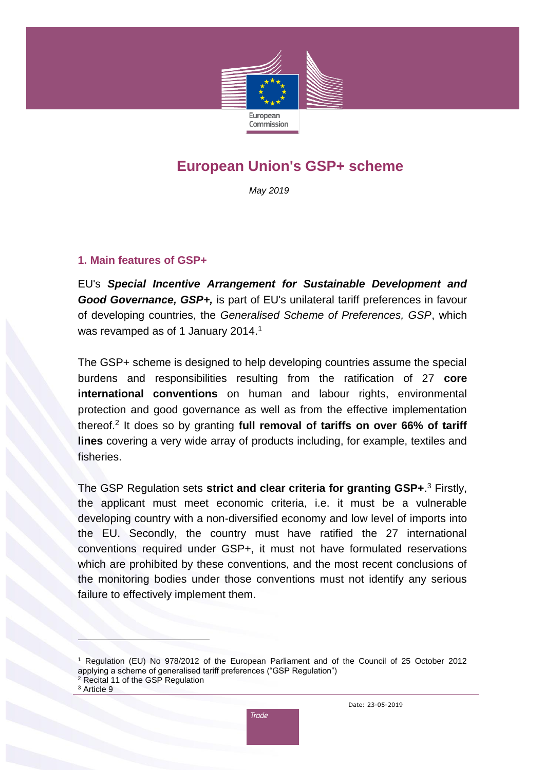

# **European Union's GSP+ scheme**

*May 2019*

#### **1. Main features of GSP+**

EU's *Special Incentive Arrangement for Sustainable Development and Good Governance, GSP+,* is part of EU's unilateral tariff preferences in favour of developing countries, the *Generalised Scheme of Preferences, GSP*, which was revamped as of 1 January 2014.<sup>1</sup>

The GSP+ scheme is designed to help developing countries assume the special burdens and responsibilities resulting from the ratification of 27 **core international conventions** on human and labour rights, environmental protection and good governance as well as from the effective implementation thereof.<sup>2</sup> It does so by granting **full removal of tariffs on over 66% of tariff lines** covering a very wide array of products including, for example, textiles and fisheries.

The GSP Regulation sets **strict and clear criteria for granting GSP+**. <sup>3</sup> Firstly, the applicant must meet economic criteria, i.e. it must be a vulnerable developing country with a non-diversified economy and low level of imports into the EU. Secondly, the country must have ratified the 27 international conventions required under GSP+, it must not have formulated reservations which are prohibited by these conventions, and the most recent conclusions of the monitoring bodies under those conventions must not identify any serious failure to effectively implement them.

 $\overline{a}$ 



<sup>1</sup> Regulation (EU) No 978/2012 of the European Parliament and of the Council of 25 October 2012 applying a scheme of generalised tariff preferences ("GSP Regulation")

<sup>2</sup> Recital 11 of the GSP Regulation

<sup>&</sup>lt;sup>3</sup> Article 9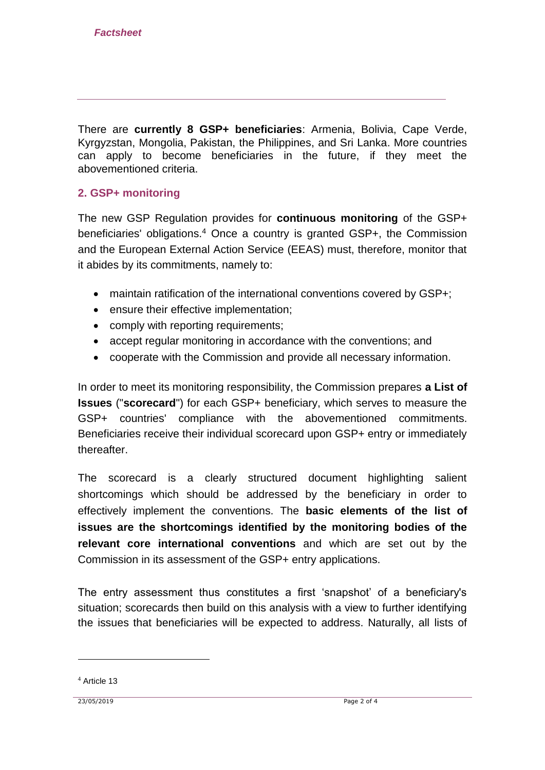There are **currently 8 GSP+ beneficiaries**: Armenia, Bolivia, Cape Verde, Kyrgyzstan, Mongolia, Pakistan, the Philippines, and Sri Lanka. More countries can apply to become beneficiaries in the future, if they meet the abovementioned criteria.

### **2. GSP+ monitoring**

The new GSP Regulation provides for **continuous monitoring** of the GSP+ beneficiaries' obligations.<sup>4</sup> Once a country is granted GSP+, the Commission and the European External Action Service (EEAS) must, therefore, monitor that it abides by its commitments, namely to:

- maintain ratification of the international conventions covered by GSP+;
- ensure their effective implementation;
- comply with reporting requirements;
- accept regular monitoring in accordance with the conventions; and
- cooperate with the Commission and provide all necessary information.

In order to meet its monitoring responsibility, the Commission prepares **a List of Issues** ("**scorecard**") for each GSP+ beneficiary, which serves to measure the GSP+ countries' compliance with the abovementioned commitments. Beneficiaries receive their individual scorecard upon GSP+ entry or immediately thereafter.

The scorecard is a clearly structured document highlighting salient shortcomings which should be addressed by the beneficiary in order to effectively implement the conventions. The **basic elements of the list of issues are the shortcomings identified by the monitoring bodies of the relevant core international conventions** and which are set out by the Commission in its assessment of the GSP+ entry applications.

The entry assessment thus constitutes a first 'snapshot' of a beneficiary's situation; scorecards then build on this analysis with a view to further identifying the issues that beneficiaries will be expected to address. Naturally, all lists of

1

<sup>4</sup> Article 13

<sup>23/05/2019</sup> Page 2 of 4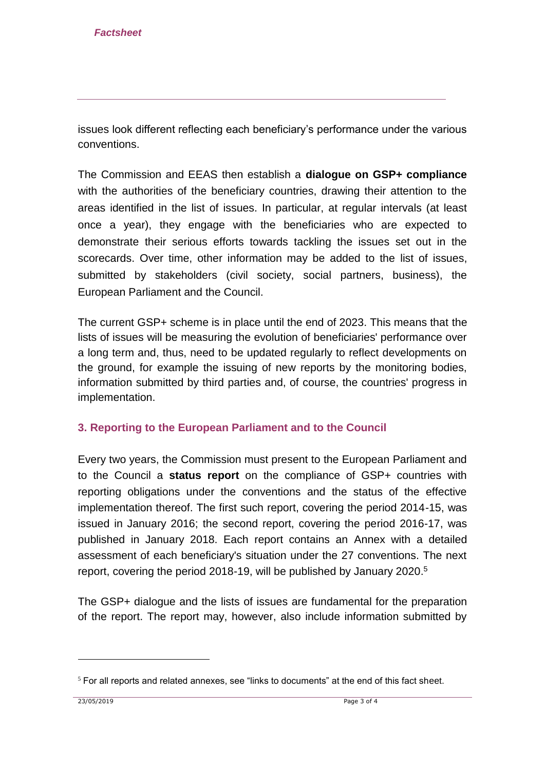issues look different reflecting each beneficiary's performance under the various conventions.

The Commission and EEAS then establish a **dialogue on GSP+ compliance** with the authorities of the beneficiary countries, drawing their attention to the areas identified in the list of issues. In particular, at regular intervals (at least once a year), they engage with the beneficiaries who are expected to demonstrate their serious efforts towards tackling the issues set out in the scorecards. Over time, other information may be added to the list of issues, submitted by stakeholders (civil society, social partners, business), the European Parliament and the Council.

The current GSP+ scheme is in place until the end of 2023. This means that the lists of issues will be measuring the evolution of beneficiaries' performance over a long term and, thus, need to be updated regularly to reflect developments on the ground, for example the issuing of new reports by the monitoring bodies, information submitted by third parties and, of course, the countries' progress in implementation.

## **3. Reporting to the European Parliament and to the Council**

Every two years, the Commission must present to the European Parliament and to the Council a **status report** on the compliance of GSP+ countries with reporting obligations under the conventions and the status of the effective implementation thereof. The first such report, covering the period 2014-15, was issued in January 2016; the second report, covering the period 2016-17, was published in January 2018. Each report contains an Annex with a detailed assessment of each beneficiary's situation under the 27 conventions. The next report, covering the period 2018-19, will be published by January 2020. 5

The GSP+ dialogue and the lists of issues are fundamental for the preparation of the report. The report may, however, also include information submitted by

1

 $5$  For all reports and related annexes, see "links to documents" at the end of this fact sheet.